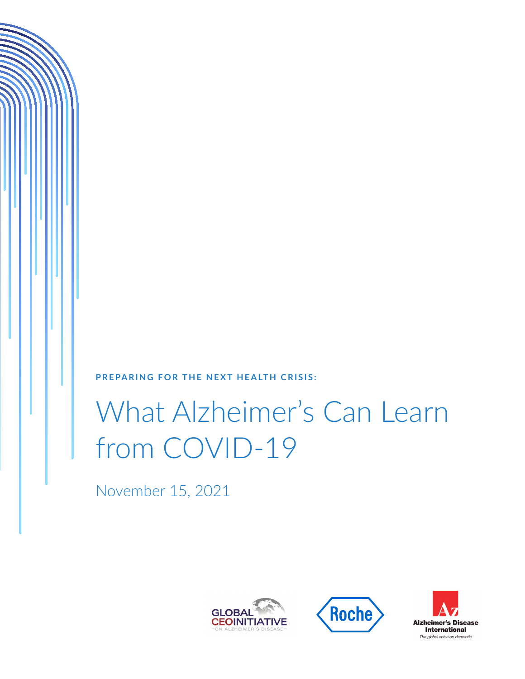**PREPARING FOR THE NEXT HEALTH CRISIS:** 

# What Alzheimer's Can Learn from COVID-19

November 15, 2021





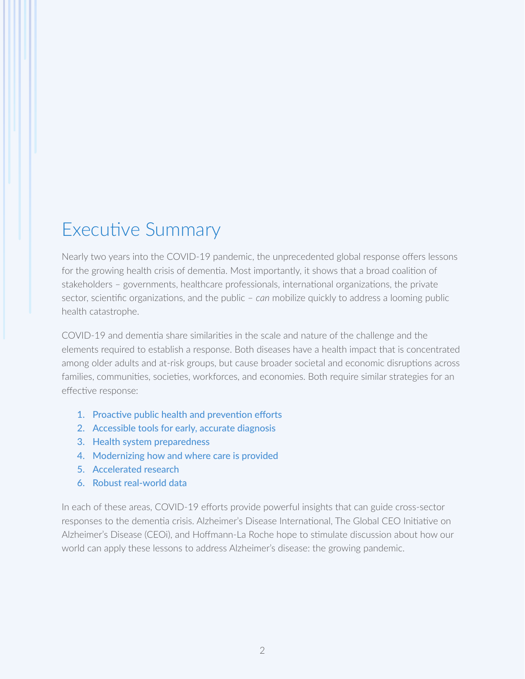## Executive Summary

Nearly two years into the COVID-19 pandemic, the unprecedented global response offers lessons for the growing health crisis of dementia. Most importantly, it shows that a broad coalition of stakeholders – governments, healthcare professionals, international organizations, the private sector, scientific organizations, and the public – *can* mobilize quickly to address a looming public health catastrophe.

COVID-19 and dementia share similarities in the scale and nature of the challenge and the elements required to establish a response. Both diseases have a health impact that is concentrated among older adults and at-risk groups, but cause broader societal and economic disruptions across families, communities, societies, workforces, and economies. Both require similar strategies for an effective response:

- 1. Proactive public health and prevention efforts
- 2. Accessible tools for early, accurate diagnosis
- 3. Health system preparedness
- 4. Modernizing how and where care is provided
- 5. Accelerated research
- 6. Robust real-world data

In each of these areas, COVID-19 efforts provide powerful insights that can guide cross-sector responses to the dementia crisis. Alzheimer's Disease International, The Global CEO Initiative on Alzheimer's Disease (CEOi), and Hoffmann-La Roche hope to stimulate discussion about how our world can apply these lessons to address Alzheimer's disease: the growing pandemic.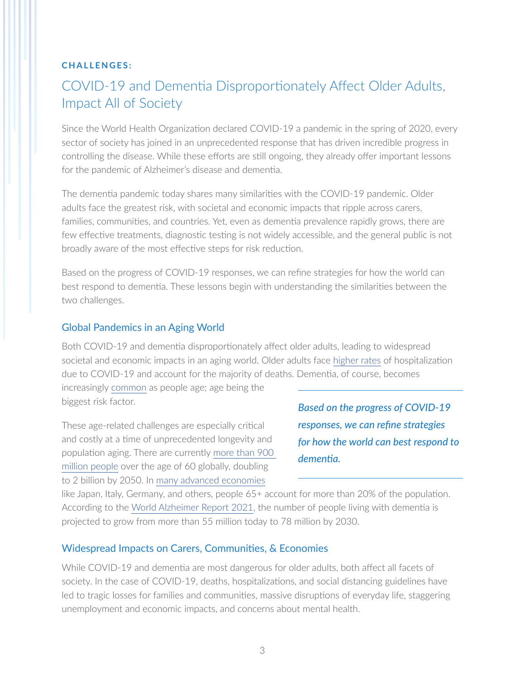#### **CHALLENGES:**

## COVID-19 and Dementia Disproportionately Affect Older Adults, Impact All of Society

Since the World Health Organization declared COVID-19 a pandemic in the spring of 2020, every sector of society has joined in an unprecedented response that has driven incredible progress in controlling the disease. While these efforts are still ongoing, they already offer important lessons for the pandemic of Alzheimer's disease and dementia.

The dementia pandemic today shares many similarities with the COVID-19 pandemic. Older adults face the greatest risk, with societal and economic impacts that ripple across carers, families, communities, and countries. Yet, even as dementia prevalence rapidly grows, there are few effective treatments, diagnostic testing is not widely accessible, and the general public is not broadly aware of the most effective steps for risk reduction.

Based on the progress of COVID-19 responses, we can refine strategies for how the world can best respond to dementia. These lessons begin with understanding the similarities between the two challenges.

#### Global Pandemics in an Aging World

Both COVID-19 and dementia disproportionately affect older adults, leading to widespread societal and economic impacts in an aging world. Older adults face [higher rates](https://www.cdc.gov/aging/covid19/covid19-older-adults.html?CDC_AA_refVal=https%3A%2F%2Fwww.cdc.gov%2Fcoronavirus%2F2019-ncov%2Fneed-extra-precautions%2Folder-adults.html) of hospitalization due to COVID-19 and account for the majority of deaths. Dementia, of course, becomes

increasingly [common](https://www.alz.org/media/documents/alzheimers-facts-and-figures-2019-r.pdf) as people age; age being the biggest risk factor.

These age-related challenges are especially critical and costly at a time of unprecedented longevity and population aging. There are currently [more than 900](https://www.who.int/news-room/fact-sheets/detail/ageing-and-health)  [million people](https://www.who.int/news-room/fact-sheets/detail/ageing-and-health) over the age of 60 globally, doubling to 2 billion by 2050. In [many advanced economies](https://www.prb.org/resources/which-country-has-the-oldest-population/)

*Based on the progress of COVID-19 responses, we can refine strategies for how the world can best respond to dementia.*

like Japan, Italy, Germany, and others, people 65+ account for more than 20% of the population. According to the [World Alzheimer Report 2021](https://www.alzint.org/u/World-Alzheimer-Report-2021.pdf), the number of people living with dementia is projected to grow from more than 55 million today to 78 million by 2030.

#### Widespread Impacts on Carers, Communities, & Economies

While COVID-19 and dementia are most dangerous for older adults, both affect all facets of society. In the case of COVID-19, deaths, hospitalizations, and social distancing guidelines have led to tragic losses for families and communities, massive disruptions of everyday life, staggering unemployment and economic impacts, and concerns about mental health.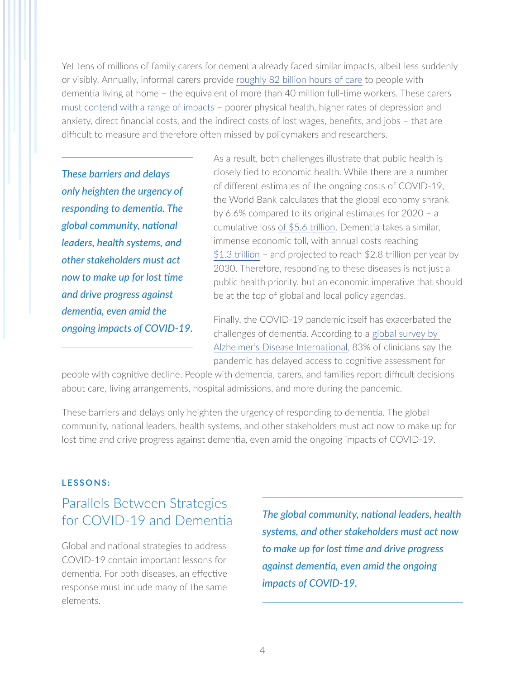Yet tens of millions of family carers for dementia already faced similar impacts, albeit less suddenly or visibly. Annually, informal carers provide [roughly 82 billion hours of care](https://www.alz.co.uk/adi/pdf/global-estimates-of-informal-care.pdf) to people with dementia living at home – the equivalent of more than 40 million full-time workers. These carers [must contend with a range of impacts](https://www.ncbi.nlm.nih.gov/pmc/articles/PMC6700654/) – poorer physical health, higher rates of depression and anxiety, direct financial costs, and the indirect costs of lost wages, benefits, and jobs – that are difficult to measure and therefore often missed by policymakers and researchers.

*These barriers and delays only heighten the urgency of responding to dementia. The global community, national leaders, health systems, and other stakeholders must act now to make up for lost time and drive progress against dementia, even amid the ongoing impacts of COVID-19.* As a result, both challenges illustrate that public health is closely tied to economic health. While there are a number of different estimates of the ongoing costs of COVID-19, the World Bank calculates that the global economy shrank by 6.6% compared to its original estimates for 2020 – a cumulative loss [of \\$5.6 trillion.](https://www.economist.com/finance-and-economics/2021/01/09/what-is-the-economic-cost-of-covid-19) Dementia takes a similar, immense economic toll, with annual costs reaching [\\$1.3 trillion](https://www.alz.co.uk/research/WorldAlzheimerReport2019.pdf) – and projected to reach \$2.8 trillion per year by 2030. Therefore, responding to these diseases is not just a public health priority, but an economic imperative that should be at the top of global and local policy agendas.

Finally, the COVID-19 pandemic itself has exacerbated the challenges of dementia. According to a [global survey by](https://www.alzint.org/u/World-Alzheimer-Report-2021.pdf)  [Alzheimer's Disease International](https://www.alzint.org/u/World-Alzheimer-Report-2021.pdf), 83% of clinicians say the pandemic has delayed access to cognitive assessment for

people with cognitive decline. People with dementia, carers, and families report difficult decisions about care, living arrangements, hospital admissions, and more during the pandemic.

These barriers and delays only heighten the urgency of responding to dementia. The global community, national leaders, health systems, and other stakeholders must act now to make up for lost time and drive progress against dementia, even amid the ongoing impacts of COVID-19.

#### **LESSONS:**

## Parallels Between Strategies for COVID-19 and Dementia

Global and national strategies to address COVID-19 contain important lessons for dementia. For both diseases, an effective response must include many of the same elements.

*The global community, national leaders, health systems, and other stakeholders must act now to make up for lost time and drive progress against dementia, even amid the ongoing impacts of COVID-19.*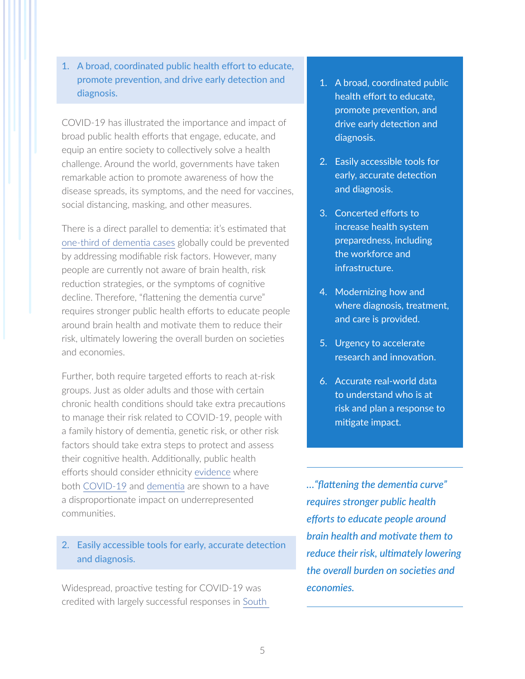1. A broad, coordinated public health effort to educate, promote prevention, and drive early detection and diagnosis.

COVID-19 has illustrated the importance and impact of broad public health efforts that engage, educate, and equip an entire society to collectively solve a health challenge. Around the world, governments have taken remarkable action to promote awareness of how the disease spreads, its symptoms, and the need for vaccines, social distancing, masking, and other measures.

There is a direct parallel to dementia: it's estimated that [one-third of dementia cases](https://www.thelancet.com/journals/lancet/article/PIIS0140-6736(17)31363-6/fulltext) globally could be prevented by addressing modifiable risk factors. However, many people are currently not aware of brain health, risk reduction strategies, or the symptoms of cognitive decline. Therefore, "flattening the dementia curve" requires stronger public health efforts to educate people around brain health and motivate them to reduce their risk, ultimately lowering the overall burden on societies and economies.

Further, both require targeted efforts to reach at-risk groups. Just as older adults and those with certain chronic health conditions should take extra precautions to manage their risk related to COVID-19, people with a family history of dementia, genetic risk, or other risk factors should take extra steps to protect and assess their cognitive health. Additionally, public health efforts should consider ethnicity [evidence](https://www.thelancet.com/journals/lancet/article/PIIS0140-6736(20)30922-3/fulltext) where both [COVID-19](https://www.nytimes.com/2020/04/08/nyregion/coronavirus-race-deaths.html) and [dementia](https://www.alz.org/media/documents/alzheimers-facts-and-figures-2019-r.pdf) are shown to a have a disproportionate impact on underrepresented communities.

#### 2. Easily accessible tools for early, accurate detection and diagnosis.

Widespread, proactive testing for COVID-19 was credited with largely successful responses in [South](https://foreignpolicy.com/2020/03/23/coronavirus-pandemic-south-korea-italy-mass-testing-covid19-will-keep-spreading/) 

- 1. A broad, coordinated public health effort to educate, promote prevention, and drive early detection and diagnosis.
- 2. Easily accessible tools for early, accurate detection and diagnosis.
- 3. Concerted efforts to increase health system preparedness, including the workforce and infrastructure.
- 4. Modernizing how and where diagnosis, treatment, and care is provided.
- 5. Urgency to accelerate research and innovation.
- 6. Accurate real-world data to understand who is at risk and plan a response to mitigate impact.

*…"flattening the dementia curve" requires stronger public health efforts to educate people around brain health and motivate them to reduce their risk, ultimately lowering the overall burden on societies and economies.*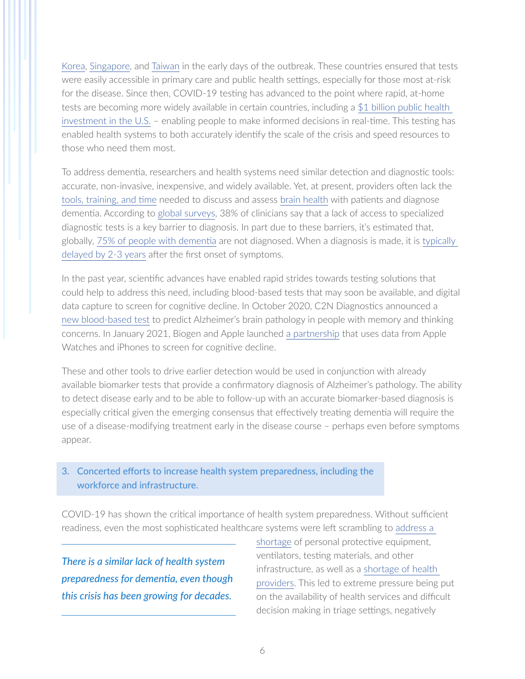[Korea](https://foreignpolicy.com/2020/03/23/coronavirus-pandemic-south-korea-italy-mass-testing-covid19-will-keep-spreading/), [Singapore](https://www.statnews.com/2020/03/23/singapore-teach-united-states-about-covid-19-response/), and [Taiwan](https://jamanetwork.com/journals/jama/fullarticle/2762689) in the early days of the outbreak. These countries ensured that tests were easily accessible in primary care and public health settings, especially for those most at-risk for the disease. Since then, COVID-19 testing has advanced to the point where rapid, at-home tests are becoming more widely available in certain countries, including a [\\$1 billion public health](https://www.nytimes.com/2021/10/06/us/politics/biden-rapid-covid-tests.html)  [investment in the U.S.](https://www.nytimes.com/2021/10/06/us/politics/biden-rapid-covid-tests.html) – enabling people to make informed decisions in real-time. This testing has enabled health systems to both accurately identify the scale of the crisis and speed resources to those who need them most.

To address dementia, researchers and health systems need similar detection and diagnostic tools: accurate, non-invasive, inexpensive, and widely available. Yet, at present, providers often lack the [tools, training, and time](https://www.alz.org/media/documents/alzheimers-facts-and-figures-2019-r.pdf) needed to discuss and assess [brain health](https://www.usagainstalzheimers.org/sites/default/files/Brain_Health_is_Womens_Health.pdf) with patients and diagnose dementia. According to [global surveys,](https://www.alzint.org/u/World-Alzheimer-Report-2021.pdf) 38% of clinicians say that a lack of access to specialized diagnostic tests is a key barrier to diagnosis. In part due to these barriers, it's estimated that, globally, [75% of people with dementia](https://www.alzint.org/u/World-Alzheimer-Report-2021.pdf) are not diagnosed. When a diagnosis is made, it is [typically](https://pubmed.ncbi.nlm.nih.gov/21576687/)  [delayed by 2-3 years](https://pubmed.ncbi.nlm.nih.gov/21576687/) after the first onset of symptoms.

In the past year, scientific advances have enabled rapid strides towards testing solutions that could help to address this need, including blood-based tests that may soon be available, and digital data capture to screen for cognitive decline. In October 2020, C2N Diagnostics announced a [new blood-based test](https://c2n.com/press/press/2020/10/28/alzheimers-breakthrough-cn-first-to-offer-a-widely-accessible-blood-test) to predict Alzheimer's brain pathology in people with memory and thinking concerns. In January 2021, Biogen and Apple launched [a partnership](https://investors.biogen.com/news-releases/news-release-details/biogen-launch-pioneering-study-develop-digital-biomarkers) that uses data from Apple Watches and iPhones to screen for cognitive decline.

These and other tools to drive earlier detection would be used in conjunction with already available biomarker tests that provide a confirmatory diagnosis of Alzheimer's pathology. The ability to detect disease early and to be able to follow-up with an accurate biomarker-based diagnosis is especially critical given the emerging consensus that effectively treating dementia will require the use of a disease-modifying treatment early in the disease course – perhaps even before symptoms appear.

#### 3. Concerted efforts to increase health system preparedness, including the workforce and infrastructure.

COVID-19 has shown the critical importance of health system preparedness. Without sufficient readiness, even the most sophisticated healthcare systems were left scrambling to [address a](https://news.un.org/en/story/2020/03/1060662) 

*There is a similar lack of health system preparedness for dementia, even though this crisis has been growing for decades.*

[shortage](https://news.un.org/en/story/2020/03/1060662) of personal protective equipment, ventilators, testing materials, and other infrastructure, as well as a [shortage of health](https://www.npr.org/sections/health-shots/2020/03/25/820706226/states-get-creative-to-find-and-deploy-more-health-workers-in-covid-19-fight)  [providers.](https://www.npr.org/sections/health-shots/2020/03/25/820706226/states-get-creative-to-find-and-deploy-more-health-workers-in-covid-19-fight) This led to extreme pressure being put on the availability of health services and difficult decision making in triage settings, negatively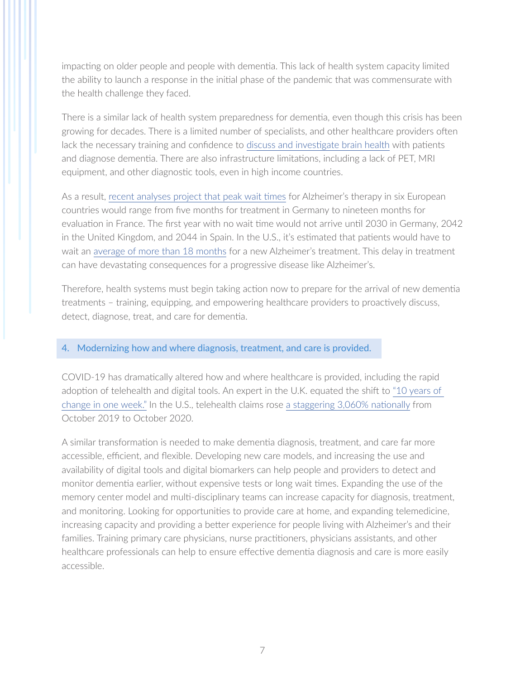impacting on older people and people with dementia. This lack of health system capacity limited the ability to launch a response in the initial phase of the pandemic that was commensurate with the health challenge they faced.

There is a similar lack of health system preparedness for dementia, even though this crisis has been growing for decades. There is a limited number of specialists, and other healthcare providers often lack the necessary training and confidence to [discuss and investigate brain health](https://www.usagainstalzheimers.org/sites/default/files/2019-04/BrainHealthOptimalSystemFINAL.pdf) with patients and diagnose dementia. There are also infrastructure limitations, including a lack of PET, MRI equipment, and other diagnostic tools, even in high income countries.

As a result, [recent analyses project that peak wait times](https://www.rand.org/pubs/research_reports/RR2503.html) for Alzheimer's therapy in six European countries would range from five months for treatment in Germany to nineteen months for evaluation in France. The first year with no wait time would not arrive until 2030 in Germany, 2042 in the United Kingdom, and 2044 in Spain. In the U.S., it's estimated that patients would have to wait an [average of more than 18 months](https://www.rand.org/content/dam/rand/pubs/research_reports/RR2200/RR2272/RAND_RR2272.pdf) for a new Alzheimer's treatment. This delay in treatment can have devastating consequences for a progressive disease like Alzheimer's.

Therefore, health systems must begin taking action now to prepare for the arrival of new dementia treatments – training, equipping, and empowering healthcare providers to proactively discuss, detect, diagnose, treat, and care for dementia.

#### 4. Modernizing how and where diagnosis, treatment, and care is provided.

COVID-19 has dramatically altered how and where healthcare is provided, including the rapid adoption of telehealth and digital tools. An expert in the U.K. equated the shift to ["10 years of](https://www.nytimes.com/2020/04/04/world/europe/telemedicine-uk-coronavirus.html)  [change in one week."](https://www.nytimes.com/2020/04/04/world/europe/telemedicine-uk-coronavirus.html) In the U.S., telehealth claims rose [a staggering 3,060% nationally](https://www.ajmc.com/view/telehealth-claim-lines-increase-in-october-2020-as-covid-19-pandemic-surges) from October 2019 to October 2020.

A similar transformation is needed to make dementia diagnosis, treatment, and care far more accessible, efficient, and flexible. Developing new care models, and increasing the use and availability of digital tools and digital biomarkers can help people and providers to detect and monitor dementia earlier, without expensive tests or long wait times. Expanding the use of the memory center model and multi-disciplinary teams can increase capacity for diagnosis, treatment, and monitoring. Looking for opportunities to provide care at home, and expanding telemedicine, increasing capacity and providing a better experience for people living with Alzheimer's and their families. Training primary care physicians, nurse practitioners, physicians assistants, and other healthcare professionals can help to ensure effective dementia diagnosis and care is more easily accessible.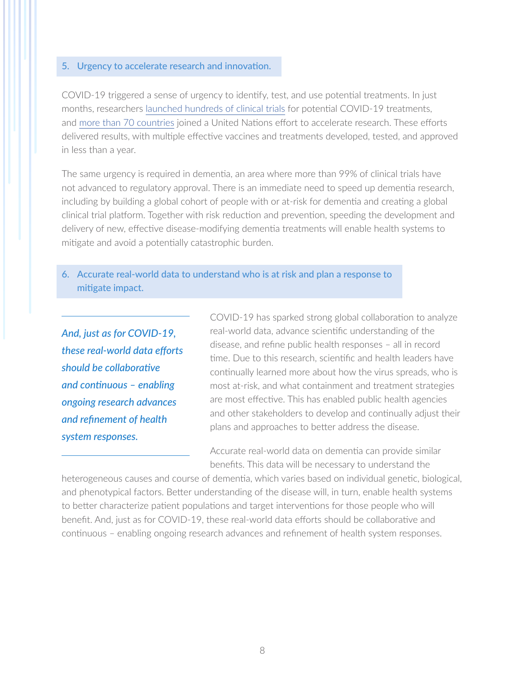#### 5. Urgency to accelerate research and innovation.

COVID-19 triggered a sense of urgency to identify, test, and use potential treatments. In just months, researchers [launched hundreds of clinical trials](https://www.thelancet.com/journals/lancet/article/PIIS0140-6736(20)30798-4/fulltext) for potential COVID-19 treatments, and [more than 70 countries](https://www.cnbc.com/2020/04/06/who-says-coronavirus-vaccine-and-treatment-research-has-accelerated-at-incredible-speed.html) joined a United Nations effort to accelerate research. These efforts delivered results, with multiple effective vaccines and treatments developed, tested, and approved in less than a year.

The same urgency is required in dementia, an area where more than 99% of clinical trials have not advanced to regulatory approval. There is an immediate need to speed up dementia research, including by building a global cohort of people with or at-risk for dementia and creating a global clinical trial platform. Together with risk reduction and prevention, speeding the development and delivery of new, effective disease-modifying dementia treatments will enable health systems to mitigate and avoid a potentially catastrophic burden.

#### 6. Accurate real-world data to understand who is at risk and plan a response to mitigate impact.

*And, just as for COVID-19, these real-world data efforts should be collaborative and continuous – enabling ongoing research advances and refinement of health system responses.*

COVID-19 has sparked strong global collaboration to analyze real-world data, advance scientific understanding of the disease, and refine public health responses – all in record time. Due to this research, scientific and health leaders have continually learned more about how the virus spreads, who is most at-risk, and what containment and treatment strategies are most effective. This has enabled public health agencies and other stakeholders to develop and continually adjust their plans and approaches to better address the disease.

Accurate real-world data on dementia can provide similar benefits. This data will be necessary to understand the

heterogeneous causes and course of dementia, which varies based on individual genetic, biological, and phenotypical factors. Better understanding of the disease will, in turn, enable health systems to better characterize patient populations and target interventions for those people who will benefit. And, just as for COVID-19, these real-world data efforts should be collaborative and continuous – enabling ongoing research advances and refinement of health system responses.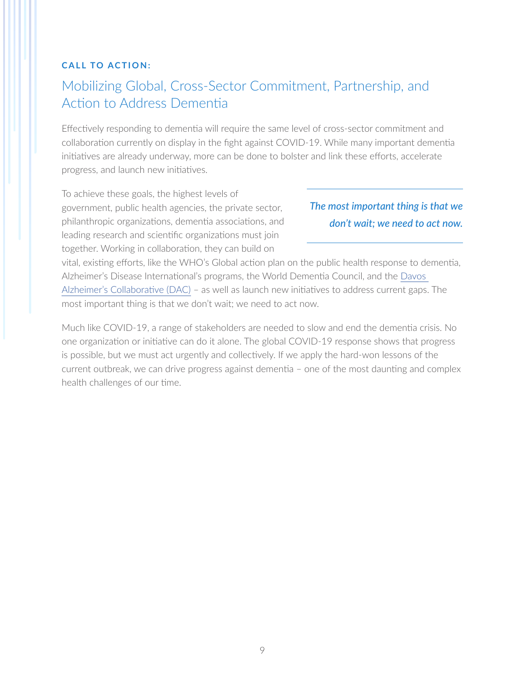#### **CALL TO ACTION:**

## Mobilizing Global, Cross-Sector Commitment, Partnership, and Action to Address Dementia

Effectively responding to dementia will require the same level of cross-sector commitment and collaboration currently on display in the fight against COVID-19. While many important dementia initiatives are already underway, more can be done to bolster and link these efforts, accelerate progress, and launch new initiatives.

To achieve these goals, the highest levels of government, public health agencies, the private sector, philanthropic organizations, dementia associations, and leading research and scientific organizations must join together. Working in collaboration, they can build on

### *The most important thing is that we don't wait; we need to act now.*

vital, existing efforts, like the WHO's Global action plan on the public health response to dementia, Alzheimer's Disease International's programs, the World Dementia Council, and the [Davos](https://www.davosalzheimerscollaborative.org)  [Alzheimer's Collaborative \(DAC\)](https://www.davosalzheimerscollaborative.org) – as well as launch new initiatives to address current gaps. The most important thing is that we don't wait; we need to act now.

Much like COVID-19, a range of stakeholders are needed to slow and end the dementia crisis. No one organization or initiative can do it alone. The global COVID-19 response shows that progress is possible, but we must act urgently and collectively. If we apply the hard-won lessons of the current outbreak, we can drive progress against dementia – one of the most daunting and complex health challenges of our time.